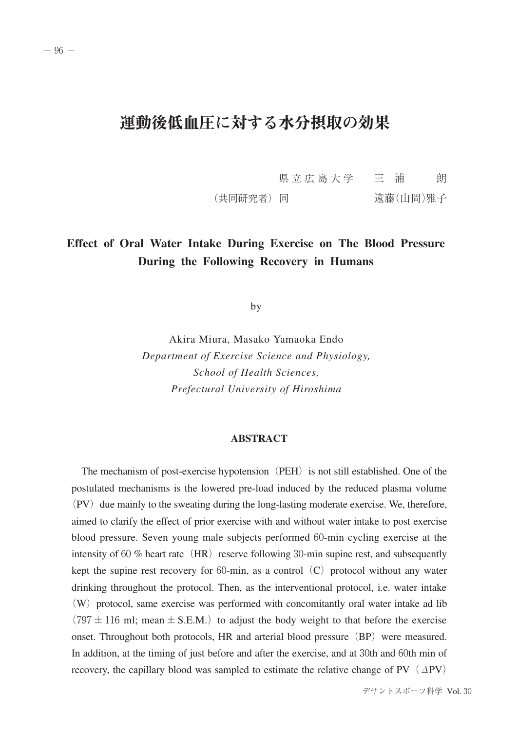# 運動後低血圧に対する水分摂取の効果

県立広島大学 三 浦 朗 (共同研究者) 同 まんのおり 遠藤(山岡)雅子

## **Effect of Oral Water Intake During Exercise on The Blood Pressure During the Following Recovery in Humans**

by

Akira Miura, Masako Yamaoka Endo *Department of Exercise Science and Physiology, School of Health Sciences, Prefectural University of Hiroshima*

### **ABSTRACT**

The mechanism of post-exercise hypotension (PEH) is not still established. One of the postulated mechanisms is the lowered pre-load induced by the reduced plasma volume  $(PV)$  due mainly to the sweating during the long-lasting moderate exercise. We, therefore, aimed to clarify the effect of prior exercise with and without water intake to post exercise blood pressure. Seven young male subjects performed 60-min cycling exercise at the intensity of 60 % heart rate  $(HR)$  reserve following 30-min supine rest, and subsequently kept the supine rest recovery for 60-min, as a control  $(C)$  protocol without any water drinking throughout the protocol. Then, as the interventional protocol, i.e. water intake  $(W)$  protocol, same exercise was performed with concomitantly oral water intake ad lib  $(797 \pm 116 \text{ ml}; \text{mean} \pm \text{S.E.M.})$  to adjust the body weight to that before the exercise onset. Throughout both protocols,  $HR$  and arterial blood pressure  $(BP)$  were measured. In addition, at the timing of just before and after the exercise, and at 30th and 60th min of recovery, the capillary blood was sampled to estimate the relative change of PV  $(\Delta PV)$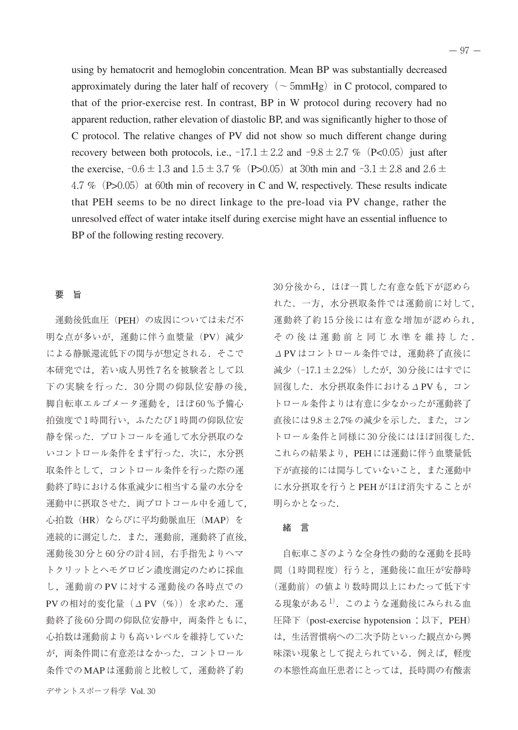using by hematocrit and hemoglobin concentration. Mean BP was substantially decreased approximately during the later half of recovery ( $\sim$  5mmHg) in C protocol, compared to that of the prior-exercise rest. In contrast, BP in W protocol during recovery had no apparent reduction, rather elevation of diastolic BP, and was significantly higher to those of C protocol. The relative changes of PV did not show so much different change during recovery between both protocols, i.e.,  $-17.1 \pm 2.2$  and  $-9.8 \pm 2.7$  % (P<0.05) just after the exercise,  $-0.6 \pm 1.3$  and  $1.5 \pm 3.7$  % (P>0.05) at 30th min and  $-3.1 \pm 2.8$  and  $2.6 \pm 1.3$ 4.7 % (P $>0.05$ ) at 60th min of recovery in C and W, respectively. These results indicate that PEH seems to be no direct linkage to the pre-load via PV change, rather the unresolved effect of water intake itself during exercise might have an essential influence to BP of the following resting recovery.

### 要 旨

運動後低血圧 (PEH)の成因については未だ不 明な点が多いが,運動に伴う血漿量(PV)減少 による静脈還流低下の関与が想定される.そこで 本研究では,若い成人男性7名を被験者として以 下の実験を行った.30 分間の仰臥位安静の後, 脚自転車エルゴメータ運動を、ほぼ60%予備心 拍強度で1時間行い,ふたたび1時間の仰臥位安 静を保った.プロトコールを通して水分摂取のな いコントロール条件をまず行った. 次に、水分摂 取条件として,コントロール条件を行った際の運 動終了時における体重減少に相当する量の水分を 運動中に摂取させた. 両プロトコール中を通して, 心拍数(HR)ならびに平均動脈血圧(MAP)を 連続的に測定した. また、運動前、運動終了直後, 運動後 30 分と 60 分の計 4 回,右手指先よりヘマ トクリットとヘモグロビン濃度測定のために採血 し,運動前の PV に対する運動後の各時点での PVの相対的変化量  $(\Delta$  PV $(\%)$ ) を求めた. 運 動終了後60分間の仰臥位安静中, 両条件ともに, 心拍数は運動前よりも高いレベルを維持していた が,両条件間に有意差はなかった.コントロール 条件での MAP は運動前と比較して,運動終了約

れた.一方,水分摂取条件では運動前に対して, 運動終了約 15 分後には有意な増加が認められ, その後は運動前と同じ水準を維持した . <sup>Δ</sup>PVはコントロール条件では,運動終了直後に 減少(-17.1±2.2%)したが,30分後にはすでに 回復した.水分摂取条件におけるΔPVも,コン トロール条件よりは有意に少なかったが運動終了 直後には9.8±2.7%の減少を示した.また,コン トロール条件と同様に 30 分後にはほぼ回復した. これらの結果より、PEHには運動に伴う血漿量低 下が直接的には関与していないこと,また運動中 に水分摂取を行うと PEH がほぼ消失することが 明らかとなった.

30分後から、ほぼ一貫した有意な低下が認めら

#### 緒 言

自転車こぎのような全身性の動的な運動を長時 間(1時間程度)行うと,運動後に血圧が安静時 (運動前)の値より数時間以上にわたって低下す る現象がある<sup>1)</sup>. このような運動後にみられる血 压降下 (post-exercise hypotension: 以下, PEH) は,生活習慣病への二次予防といった観点から興 味深い現象として捉えられている.例えば,軽度 の本態性高血圧患者にとっては,長時間の有酸素